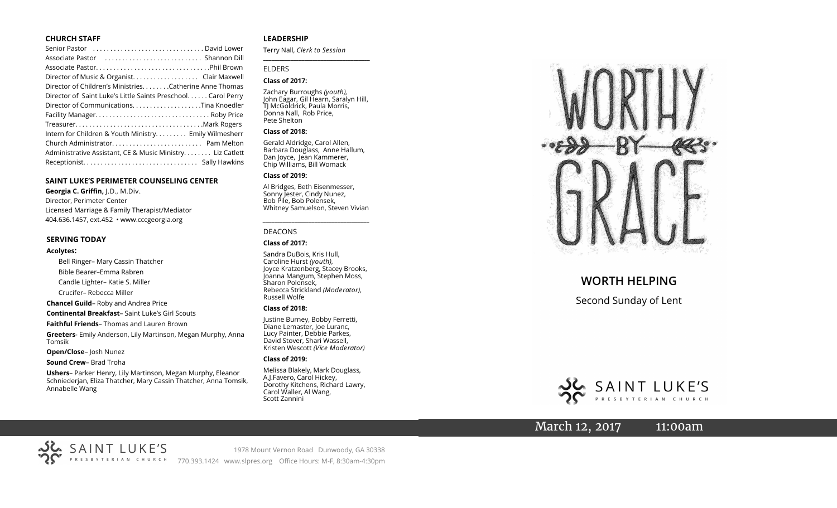#### **CHURCH STAFF**

| Senior Pastor  David Lower                                   |
|--------------------------------------------------------------|
|                                                              |
|                                                              |
| Director of Music & Organist. Clair Maxwell                  |
| Director of Children's MinistriesCatherine Anne Thomas       |
| Director of Saint Luke's Little Saints Preschool Carol Perry |
|                                                              |
|                                                              |
|                                                              |
| Intern for Children & Youth Ministry Emily Wilmesherr        |
|                                                              |
| Administrative Assistant, CE & Music Ministry Liz Catlett    |
|                                                              |

#### **SAINT LUKE'S PERIMETER COUNSELING CENTER**

**Georgia C. Griffin,** J.D., M.Div. Director, Perimeter Center Licensed Marriage & Family Therapist/Mediator 404.636.1457, ext.452 • www.cccgeorgia.org

#### **SERVING TODAY**

#### **Acolytes:**

Bell Ringer– Mary Cassin Thatcher Bible Bearer–Emma Rabren Candle Lighter– Katie S. Miller Crucifer– Rebecca Miller **Chancel Guild**– Roby and Andrea Price **Continental Breakfast**– Saint Luke's Girl Scouts **Faithful Friends**– Thomas and Lauren Brown

**Greeters**- Emily Anderson, Lily Martinson, Megan Murphy, Anna Tomsik

**Open/Close**– Josh Nunez

**Sound Crew**– Brad Troha

**Ushers**– Parker Henry, Lily Martinson, Megan Murphy, Eleanor Schniederjan, Eliza Thatcher, Mary Cassin Thatcher, Anna Tomsik, Annabelle Wang

#### **LEADERSHIP**

Terry Nall, *Clerk to Session* 

**\_\_\_\_\_\_\_\_\_\_\_\_\_\_\_\_\_\_\_\_\_\_\_\_\_\_\_\_\_\_\_\_\_\_\_\_\_\_\_**

#### ELDERS

#### **Class of 2017:**

Zachary Burroughs *(youth),*  John Eagar, Gil Hearn, Saralyn Hill, TJ McGoldrick, Paula Morris, Donna Nall, Rob Price, Pete Shelton

#### **Class of 2018:**

Gerald Aldridge, Carol Allen, Barbara Douglass, Anne Hallum, Dan Joyce, Jean Kammerer, Chip Williams, Bill Womack

#### **Class of 2019:**

Al Bridges, Beth Eisenmesser, Sonny Jester, Cindy Nunez, Bob Pile, Bob Polensek, Whitney Samuelson, Steven Vivian

*\_\_\_\_\_\_\_\_\_\_\_\_\_\_\_\_\_\_\_\_\_\_\_\_\_\_\_\_\_\_\_\_\_\_\_\_\_*

#### DEACONS

#### **Class of 2017:**

Sandra DuBois, Kris Hull, Caroline Hurst *(youth),* Joyce Kratzenberg, Stacey Brooks, Joanna Mangum, Stephen Moss, Sharon Polensek, Rebecca Strickland *(Moderator),*  Russell Wolfe

#### **Class of 2018:**

Justine Burney, Bobby Ferretti, Diane Lemaster, Joe Luranc, Lucy Painter, Debbie Parkes, David Stover, Shari Wassell, Kristen Wescott *(Vice Moderator)*

#### **Class of 2019:**

Melissa Blakely, Mark Douglass, A.J.Favero, Carol Hickey, Dorothy Kitchens, Richard Lawry, Carol Waller, Al Wang, Scott Zannini



## **WORTH HELPING**

Second Sunday of Lent



## March 12, 2017 11:00am



1978 Mount Vernon Road Dunwoody, GA 30338 770.393.1424 www.slpres.org Office Hours: M-F, 8:30am-4:30pm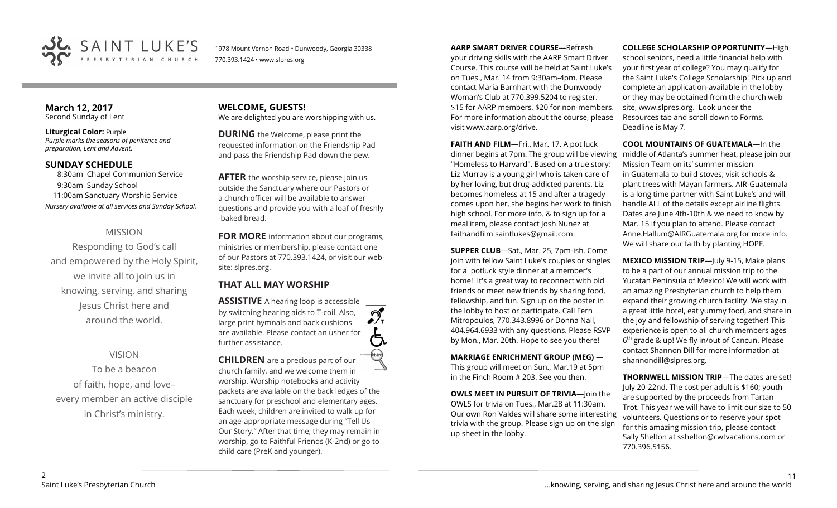

1978 Mount Vernon Road • Dunwoody, Georgia 30338 770.393.1424 • www.slpres.org

#### **March 12, 2017**  Second Sunday of Lent

**Liturgical Color:** Purple *Purple marks the seasons of penitence and preparation, Lent and Advent.*

## **SUNDAY SCHEDULE**

8:30am Chapel Communion Service 9:30am Sunday School 11:00am Sanctuary Worship Service *Nursery available at all services and Sunday School.*

## MISSION

Responding to God's call and empowered by the Holy Spirit, we invite all to join us in knowing, serving, and sharing Jesus Christ here and around the world.

## VISION

To be a beacon of faith, hope, and love– every member an active disciple in Christ's ministry.

**WELCOME, GUESTS!**  We are delighted you are worshipping with us.

**DURING** the Welcome, please print the requested information on the Friendship Pad and pass the Friendship Pad down the pew.

**AFTER** the worship service, please join us outside the Sanctuary where our Pastors or a church officer will be available to answer questions and provide you with a loaf of freshly -baked bread.

**FOR MORE** information about our programs, ministries or membership, please contact one of our Pastors at 770.393.1424, or visit our website: slpres.org.

## **THAT ALL MAY WORSHIP**

**ASSISTIVE** A hearing loop is accessible by switching hearing aids to T-coil. Also,  $\mathcal{D}_{\mathbf{r}}$ large print hymnals and back cushions are available. Please contact an usher for further assistance.

**CHILDREN** are a precious part of our church family, and we welcome them in worship. Worship notebooks and activity packets are available on the back ledges of the sanctuary for preschool and elementary ages. Each week, children are invited to walk up for an age-appropriate message during "Tell Us Our Story." After that time, they may remain in worship, go to Faithful Friends (K-2nd) or go to child care (PreK and younger).

**AARP SMART DRIVER COURSE**—Refresh

your driving skills with the AARP Smart Driver Course. This course will be held at Saint Luke's on Tues., Mar. 14 from 9:30am-4pm. Please contact Maria Barnhart with the Dunwoody Woman's Club at 770.399.5204 to register. \$15 for AARP members, \$20 for non-members. For more information about the course, please visit www.aarp.org/drive.

**FAITH AND FILM**—Fri., Mar. 17. A pot luck dinner begins at 7pm. The group will be viewing "Homeless to Harvard". Based on a true story; Liz Murray is a young girl who is taken care of by her loving, but drug-addicted parents. Liz becomes homeless at 15 and after a tragedy comes upon her, she begins her work to finish high school. For more info. & to sign up for a meal item, please contact Josh Nunez at [faithandfilm.saintlukes@gmail.com.](mailto:faithandfilm.saintlukes@gmail.com)

**SUPPER CLUB**—Sat., Mar. 25, 7pm-ish. Come join with fellow Saint Luke's couples or singles for a potluck style dinner at a member's home! It's a great way to reconnect with old friends or meet new friends by sharing food, fellowship, and fun. Sign up on the poster in the lobby to host or participate. Call Fern Mitropoulos, 770.343.8996 or Donna Nall, 404.964.6933 with any questions. Please RSVP by Mon., Mar. 20th. Hope to see you there!

**MARRIAGE ENRICHMENT GROUP (MEG)** — This group will meet on Sun., Mar.19 at 5pm in the Finch Room # 203. See you then.

**OWLS MEET IN PURSUIT OF TRIVIA**—Join the OWLS for trivia on Tues., Mar.28 at 11:30am. Our own Ron Valdes will share some interesting trivia with the group. Please sign up on the sign up sheet in the lobby.

**COLLEGE SCHOLARSHIP OPPORTUNITY**—High

school seniors, need a little financial help with your first year of college? You may qualify for the Saint Luke's College Scholarship! Pick up and complete an application-available in the lobby or they may be obtained from the church web site, www.slpres.org. Look under the Resources tab and scroll down to Forms. Deadline is May 7.

**COOL MOUNTAINS OF GUATEMALA**—In the middle of Atlanta's summer heat, please join our Mission Team on its' summer mission in Guatemala to build stoves, visit schools & plant trees with Mayan farmers. AIR-Guatemala is a long time partner with Saint Luke's and will handle ALL of the details except airline flights. Dates are June 4th-10th & we need to know by Mar. 15 if you plan to attend. Please contact Anne.Hallum@AIRGuatemala.org for more info. We will share our faith by planting HOPE.

**MEXICO MISSION TRIP**—July 9-15, Make plans to be a part of our annual mission trip to the Yucatan Peninsula of Mexico! We will work with an amazing Presbyterian church to help them expand their growing church facility. We stay in a great little hotel, eat yummy food, and share in the joy and fellowship of serving together! This experience is open to all church members ages 6<sup>th</sup> grade & up! We fly in/out of Cancun. Please contact Shannon Dill for more information at shannondill@slpres.org.

**THORNWELL MISSION TRIP**—The dates are set! July 20-22nd. The cost per adult is \$160; youth are supported by the proceeds from Tartan Trot. This year we will have to limit our size to 50 volunteers. Questions or to reserve your spot for this amazing mission trip, please contact Sally Shelton at sshelton@cwtvacations.com or 770.396.5156.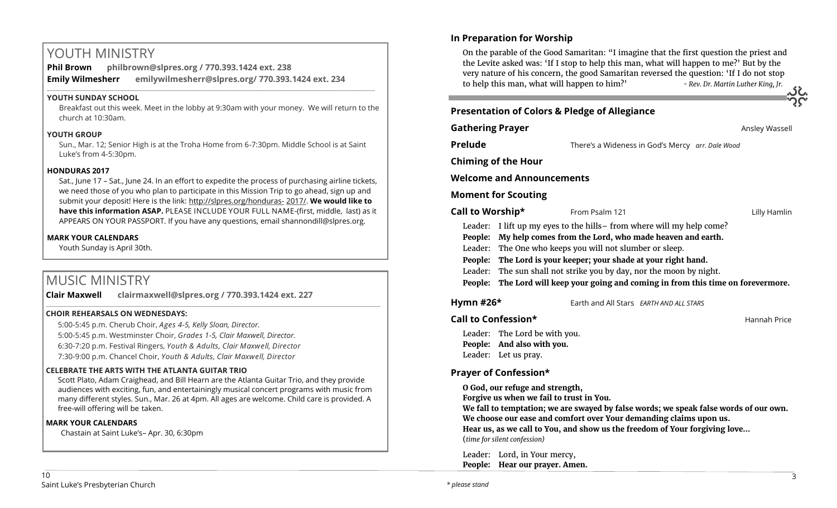# YOUTH MINISTRY

**Phil Brown philbrown@slpres.org / 770.393.1424 ext. 238 Emily Wilmesherr emilywilmesherr@slpres.org/ 770.393.1424 ext. 234**   $\_$  ,  $\_$  ,  $\_$  ,  $\_$  ,  $\_$  ,  $\_$  ,  $\_$  ,  $\_$  ,  $\_$  ,  $\_$  ,  $\_$  ,  $\_$  ,  $\_$  ,  $\_$  ,  $\_$  ,  $\_$  ,  $\_$  ,  $\_$  ,  $\_$  ,  $\_$ 

## **YOUTH SUNDAY SCHOOL**

Breakfast out this week. Meet in the lobby at 9:30am with your money. We will return to the church at 10:30am.

## **YOUTH GROUP**

Sun., Mar. 12; Senior High is at the Troha Home from 6-7:30pm. Middle School is at Saint Luke's from 4-5:30pm.

## **HONDURAS 2017**

Sat., June 17 – Sat., June 24. In an effort to expedite the process of purchasing airline tickets, we need those of you who plan to participate in this Mission Trip to go ahead, sign up and submit your deposit! Here is the link: [http://slpres.org/honduras](http://slpres.org/honduras-2017/)- 2017/. **We would like to have this information ASAP.** PLEASE INCLUDE YOUR FULL NAME-(first, middle, last) as it APPEARS ON YOUR PASSPORT. If you have any questions, email shannondill@slpres.org.

## **MARK YOUR CALENDARS**

Youth Sunday is April 30th.

# MUSIC MINISTRY

**Clair Maxwell clairmaxwell@slpres.org / 770.393.1424 ext. 227**   $\_$  , and the state of the state of the state of the state of the state of the state of the state of the state of the state of the state of the state of the state of the state of the state of the state of the state of the

## **CHOIR REHEARSALS ON WEDNESDAYS:**

5:00-5:45 p.m. Cherub Choir, *Ages 4-5, Kelly Sloan, Director.*  5:00-5:45 p.m. Westminster Choir, *Grades 1-5, Clair Maxwell, Director.*  6:30-7:20 p.m. Festival Ringers, *Youth & Adults, Clair Maxwell, Director* 7:30-9:00 p.m. Chancel Choir, *Youth & Adults, Clair Maxwell, Director* 

## **CELEBRATE THE ARTS WITH THE ATLANTA GUITAR TRIO**

Scott Plato, Adam Craighead, and Bill Hearn are the Atlanta Guitar Trio, and they provide audiences with exciting, fun, and entertainingly musical concert programs with music from many different styles. Sun., Mar. 26 at 4pm. All ages are welcome. Child care is provided. A free-will offering will be taken.

## **MARK YOUR CALENDARS**

Chastain at Saint Luke's– Apr. 30, 6:30pm

## **In Preparation for Worship**

On the parable of the Good Samaritan: "I imagine that the first question the priest and the Levite asked was: 'If I stop to help this man, what will happen to me?' But by the very nature of his concern, the good Samaritan reversed the question: 'If I do not stop to help this man, what will happen to him?' *- Rev. Dr. Martin Luther King, Jr.*

## **Presentation of Colors & Pledge of Allegiance**

**Gathering Prayer Constanting Prayer** *Ansley Wassell* **Prelude** There's a Wideness in God's Mercy *arr. Dale Wood* **Chiming of the Hour Welcome and Announcements Moment for Scouting Call to Worship\*** From Psalm 121 **Call to Worship Killy Hamlin** 

- Leader: I lift up my eyes to the hills– from where will my help come?
- **People: My help comes from the Lord, who made heaven and earth.**
- Leader: The One who keeps you will not slumber or sleep.
- **People: The Lord is your keeper; your shade at your right hand.**
- Leader: The sun shall not strike you by day, nor the moon by night.

**People: The Lord will keep your going and coming in from this time on forevermore.**

**Hymn #26\*** Earth and All Stars *EARTH AND ALL STARS*

## **Call to Confession\* Call to Confession\*** *Call to Confession***\***

Leader: The Lord be with you. **People: And also with you.** Leader: Let us pray.

## **Prayer of Confession\***

**O God, our refuge and strength,** 

**Forgive us when we fail to trust in You.** 

**We fall to temptation; we are swayed by false words; we speak false words of our own. We choose our ease and comfort over Your demanding claims upon us.** 

**Hear us, as we call to You, and show us the freedom of Your forgiving love…**  (*time for silent confession)*

Leader: Lord, in Your mercy, **People: Hear our prayer. Amen.**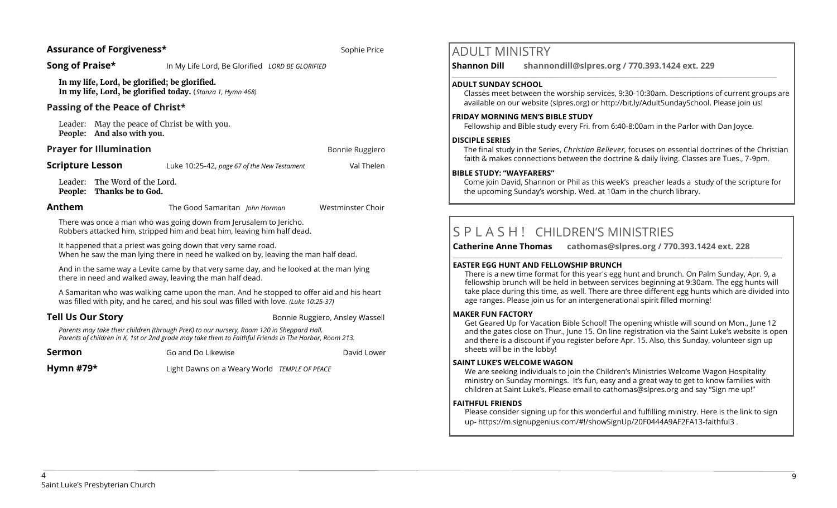### **Assurance of Forgiveness\* Sophie Price Assurance of Forgiveness\* Sophie Price**

**Song of Praise\*** In My Life Lord, Be Glorified *LORD BE GLORIFIED* 

**In my life, Lord, be glorified; be glorified. In my life, Lord, be glorified today.** (*Stanza 1, Hymn 468)*

#### **Passing of the Peace of Christ\***

Leader: May the peace of Christ be with you. **People: And also with you.**

#### **Prayer for Illumination Bonnie Ruggiero Bonnie Ruggiero**

**Scripture Lesson Luke 10:25-42,** *page 67 of the New Testament* **Val Thelen** 

Leader: The Word of the Lord. **People: Thanks be to God.**

**Anthem** The Good Samaritan *John Horman* Westminster Choir

There was once a man who was going down from Jerusalem to Jericho. Robbers attacked him, stripped him and beat him, leaving him half dead.

It happened that a priest was going down that very same road. When he saw the man lying there in need he walked on by, leaving the man half dead.

And in the same way a Levite came by that very same day, and he looked at the man lying there in need and walked away, leaving the man half dead.

A Samaritan who was walking came upon the man. And he stopped to offer aid and his heart was filled with pity, and he cared, and his soul was filled with love. *(Luke 10:25-37)*

**Tell Us Our Story Bonnie Ruggiero, Ansley Wassell** 

*Parents may take their children (through PreK) to our nursery, Room 120 in Sheppard Hall. Parents of children in K, 1st or 2nd grade may take them to Faithful Friends in The Harbor, Room 213.*

**Sermon** Go and Do Likewise **David Lower David Lower** Go and Do Likewise

**Hymn #79\*** Light Dawns on a Weary World *TEMPLE OF PEACE*

## ADULT MINISTRY

**Shannon Dill shannondill@slpres.org / 770.393.1424 ext. 229** 

#### **ADULT SUNDAY SCHOOL**

Classes meet between the worship services, 9:30-10:30am. Descriptions of current groups are available on our website (slpres.org) or http://bit.ly/AdultSundaySchool. Please join us!

#### **FRIDAY MORNING MEN'S BIBLE STUDY**

Fellowship and Bible study every Fri. from 6:40-8:00am in the Parlor with Dan Joyce.

 $\_$  ,  $\_$  ,  $\_$  ,  $\_$  ,  $\_$  ,  $\_$  ,  $\_$  ,  $\_$  ,  $\_$  ,  $\_$  ,  $\_$  ,  $\_$  ,  $\_$  ,  $\_$  ,  $\_$  ,  $\_$  ,  $\_$  ,  $\_$  ,  $\_$ 

#### **DISCIPLE SERIES**

The final study in the Series, *Christian Believer,* focuses on essential doctrines of the Christian faith & makes connections between the doctrine & daily living. Classes are Tues., 7-9pm.

#### **BIBLE STUDY: "WAYFARERS"**

Come join David, Shannon or Phil as this week's preacher leads a study of the scripture for the upcoming Sunday's worship. Wed. at 10am in the church library.

# S P L A S H ! CHILDREN'S MINISTRIES

**Catherine Anne Thomas cathomas@slpres.org / 770.393.1424 ext. 228 \_\_\_\_\_\_\_\_\_\_\_\_\_\_\_\_\_\_\_\_\_\_\_\_\_\_\_\_\_\_\_\_\_\_\_\_\_\_\_\_\_\_\_\_\_\_\_\_\_\_\_\_\_\_\_\_\_\_\_\_\_\_\_\_\_\_\_\_\_\_\_\_\_\_\_\_\_\_\_\_\_\_\_\_\_\_\_\_\_\_\_\_\_\_\_\_\_\_\_\_\_\_\_\_\_\_\_** 

### **EASTER EGG HUNT AND FELLOWSHIP BRUNCH**

There is a new time format for this year's egg hunt and brunch. On Palm Sunday, Apr. 9, a fellowship brunch will be held in between services beginning at 9:30am. The egg hunts will take place during this time, as well. There are three different egg hunts which are divided into age ranges. Please join us for an intergenerational spirit filled morning!

### **MAKER FUN FACTORY**

Get Geared Up for Vacation Bible School! The opening whistle will sound on Mon., June 12 and the gates close on Thur., June 15. On line registration via the Saint Luke's website is open and there is a discount if you register before Apr. 15. Also, this Sunday, volunteer sign up sheets will be in the lobby!

### **SAINT LUKE'S WELCOME WAGON**

We are seeking individuals to join the Children's Ministries Welcome Wagon Hospitality ministry on Sunday mornings. It's fun, easy and a great way to get to know families with children at Saint Luke's. Please email to cathomas@slpres.org and say "Sign me up!"

### **FAITHFUL FRIENDS**

Please consider signing up for this wonderful and fulfilling ministry. Here is the link to sign up- [https://m.signupgenius.com/#!/showSignUp/20F0444A9AF2FA13](https://m.signupgenius.com/#!/showSignUp/20F0444A9AF2FA13-faithful3)-faithful3 .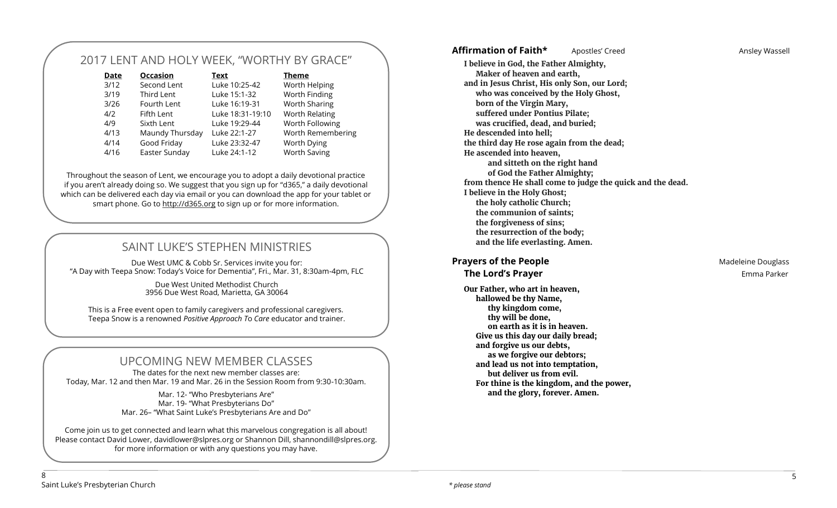# 2017 LENT AND HOLY WEEK, "WORTHY BY GRACE"

| <b>Date</b> | <b>Occasion</b> | <b>Text</b>      | <b>Theme</b>        |
|-------------|-----------------|------------------|---------------------|
| 3/12        | Second Lent     | Luke 10:25-42    | Worth Helping       |
| 3/19        | Third Lent      | Luke 15:1-32     | Worth Finding       |
| 3/26        | Fourth Lent     | Luke 16:19-31    | Worth Sharing       |
| 4/2         | Fifth Lent      | Luke 18:31-19:10 | Worth Relating      |
| 4/9         | Sixth Lent      | Luke 19:29-44    | Worth Following     |
| 4/13        | Maundy Thursday | Luke 22:1-27     | Worth Remembering   |
| 4/14        | Good Friday     | Luke 23:32-47    | Worth Dying         |
| 4/16        | Easter Sunday   | Luke 24:1-12     | <b>Worth Saving</b> |

Throughout the season of Lent, we encourage you to adopt a daily devotional practice if you aren't already doing so. We suggest that you sign up for "d365," a daily devotional which can be delivered each day via email or you can download the app for your tablet or smart phone. Go to <http://d365.org> to sign up or for more information.

# SAINT LUKE'S STEPHEN MINISTRIES

Due West UMC & Cobb Sr. Services invite you for: "A Day with Teepa Snow: Today's Voice for Dementia", Fri., Mar. 31, 8:30am-4pm, FLC

> Due West United Methodist Church 3956 Due West Road, Marietta, GA 30064

This is a Free event open to family caregivers and professional caregivers. Teepa Snow is a renowned *Positive Approach T*o *Care* educator and trainer.

## UPCOMING NEW MEMBER CLASSES

The dates for the next new member classes are: Today, Mar. 12 and then Mar. 19 and Mar. 26 in the Session Room from 9:30-10:30am.

> Mar. 12- "Who Presbyterians Are" Mar. 19- "What Presbyterians Do" Mar. 26– "What Saint Luke's Presbyterians Are and Do"

Come join us to get connected and learn what this marvelous congregation is all about! Please contact David Lower, davidlower@slpres.org or Shannon Dill, shannondill@slpres.org. for more information or with any questions you may have.

#### **I believe in God, the Father Almighty, Maker of heaven and earth, and in Jesus Christ, His only Son, our Lord; who was conceived by the Holy Ghost, born of the Virgin Mary, suffered under Pontius Pilate; was crucified, dead, and buried; He descended into hell; the third day He rose again from the dead; He ascended into heaven, and sitteth on the right hand of God the Father Almighty; from thence He shall come to judge the quick and the dead. I believe in the Holy Ghost; the holy catholic Church; the communion of saints; the forgiveness of sins; the resurrection of the body; and the life everlasting. Amen.**

# **Prayers of the People Madeleine Douglass Madeleine Douglass**

**Our Father, who art in heaven, hallowed be thy Name, thy kingdom come, thy will be done, on earth as it is in heaven. Give us this day our daily bread; and forgive us our debts, as we forgive our debtors; and lead us not into temptation, but deliver us from evil. For thine is the kingdom, and the power, and the glory, forever. Amen.**

**The Lord's Prayer and Service Contract Contract Contract Contract Contract Contract Contract Contract Contract Contract Contract Contract Contract Contract Contract Contract Contract Contract Contract Contract Contract Co** 

8